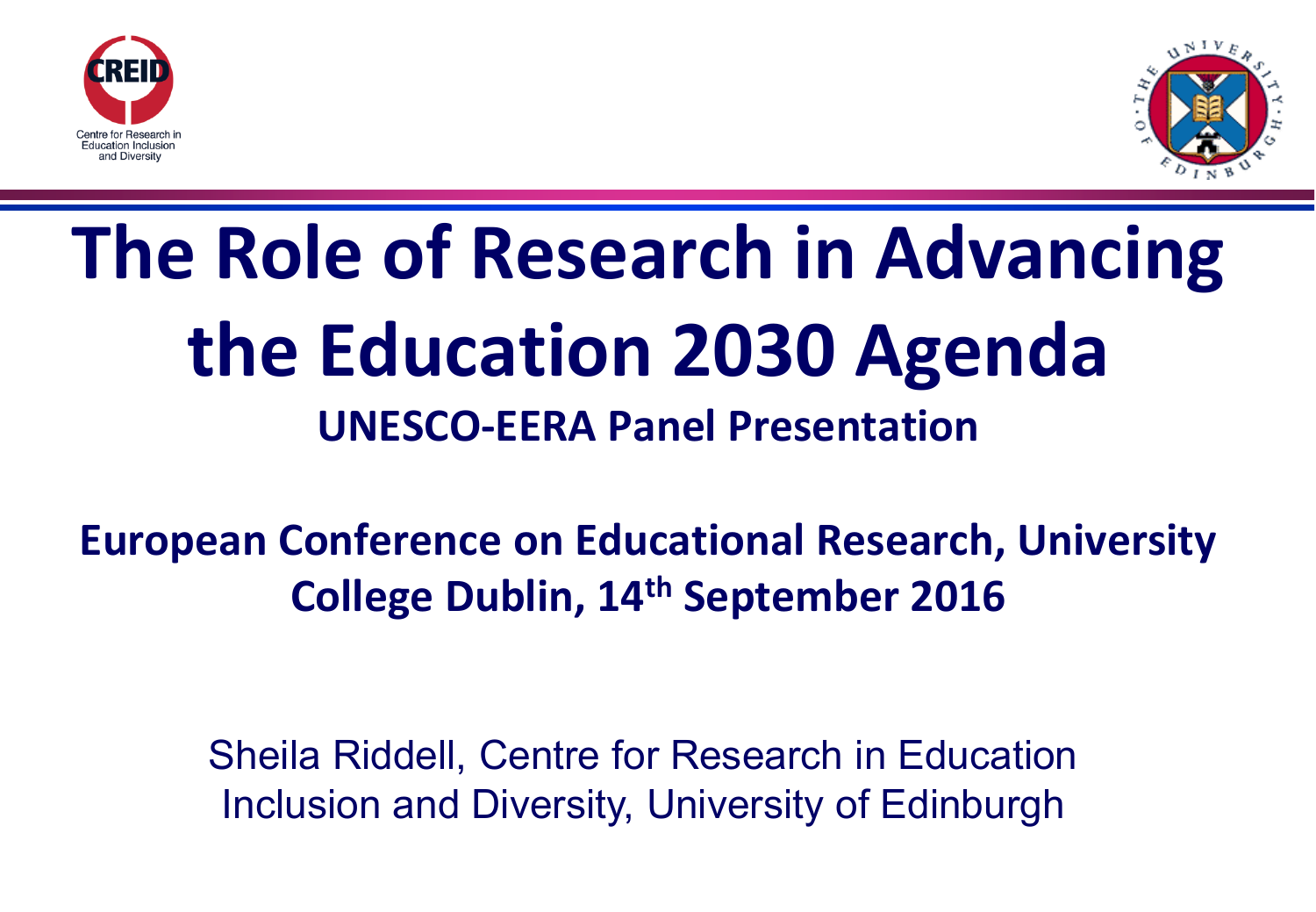



# **The Role of Research in Advancing the Education 2030 Agenda UNESCO-EERA Panel Presentation**

## **European Conference on Educational Research, University College Dublin, 14th September 2016**

Sheila Riddell, Centre for Research in Education Inclusion and Diversity, University of Edinburgh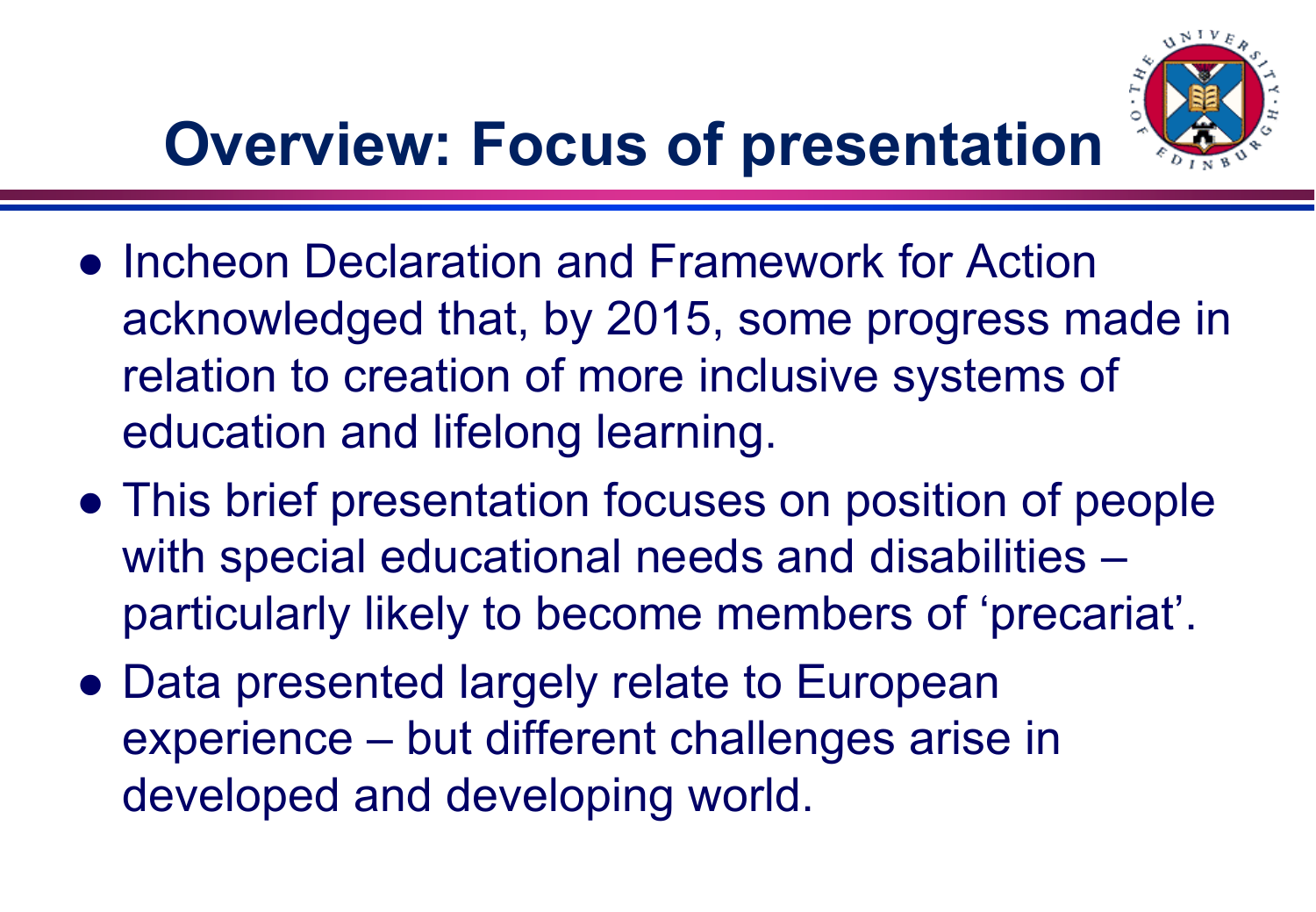

# **Overview: Focus of presentation**

- **Incheon Declaration and Framework for Action** acknowledged that, by 2015, some progress made in relation to creation of more inclusive systems of education and lifelong learning.
- This brief presentation focuses on position of people with special educational needs and disabilities – particularly likely to become members of 'precariat'.
- Data presented largely relate to European experience – but different challenges arise in developed and developing world.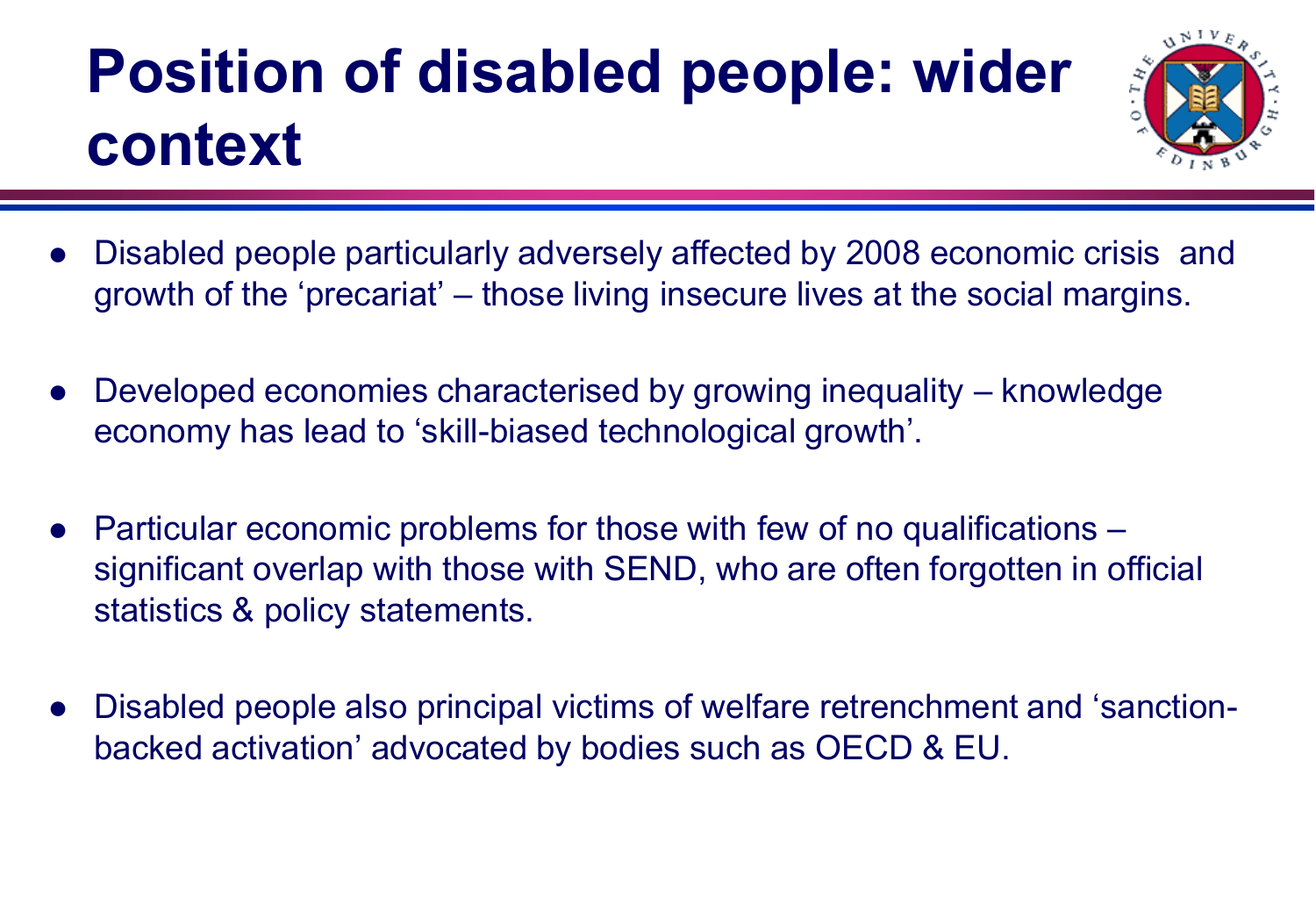# **Position of disabled people: wider context**



- Disabled people particularly adversely affected by 2008 economic crisis and growth of the 'precariat' – those living insecure lives at the social margins.
- Developed economies characterised by growing inequality knowledge economy has lead to 'skill-biased technological growth'.
- Particular economic problems for those with few of no qualifications significant overlap with those with SEND, who are often forgotten in official statistics & policy statements.
- Disabled people also principal victims of welfare retrenchment and 'sanctionbacked activation' advocated by bodies such as OECD & EU.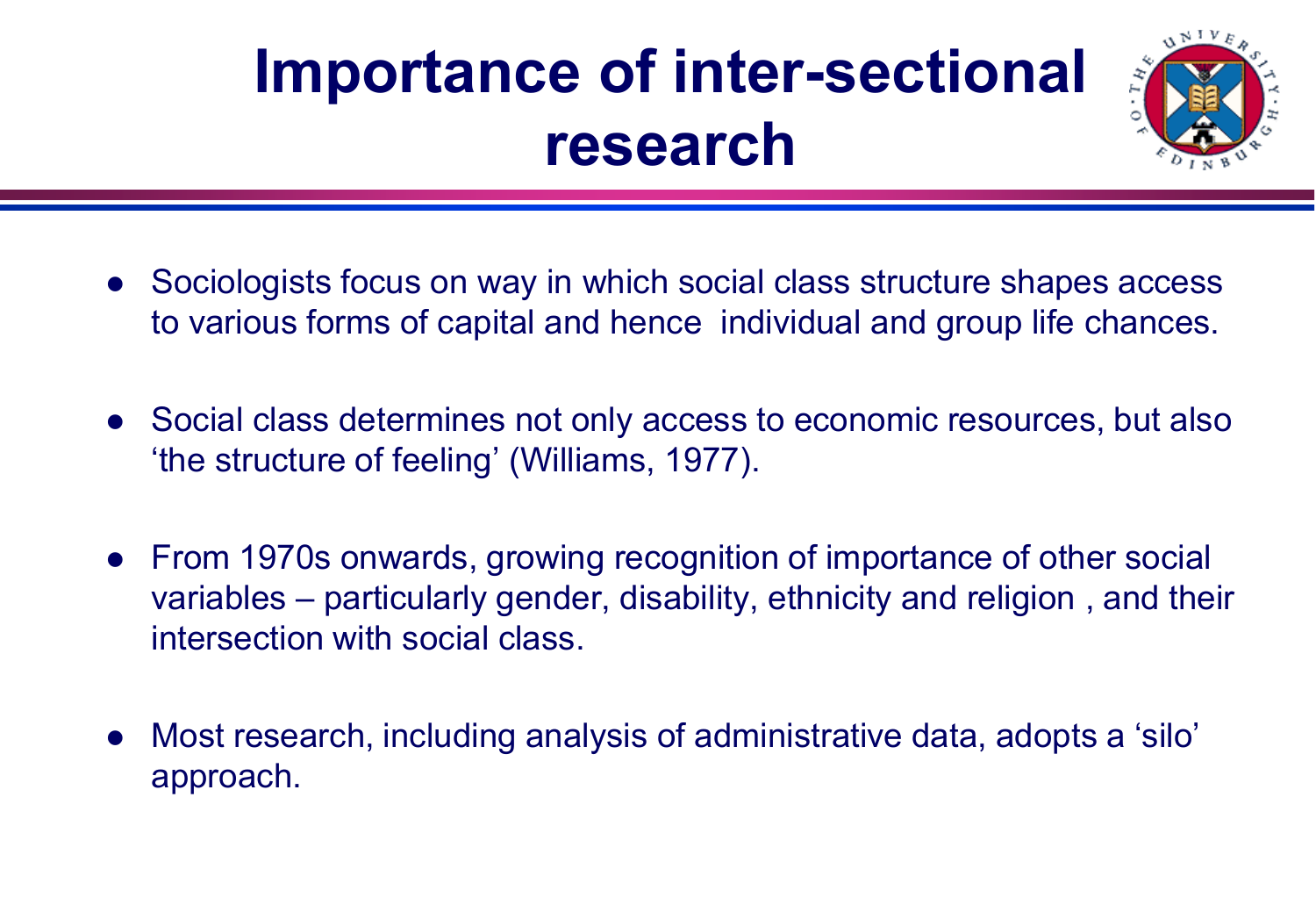# **Importance of inter-sectional research**



- Sociologists focus on way in which social class structure shapes access to various forms of capital and hence individual and group life chances.
- Social class determines not only access to economic resources, but also 'the structure of feeling' (Williams, 1977).
- From 1970s onwards, growing recognition of importance of other social variables – particularly gender, disability, ethnicity and religion , and their intersection with social class.
- Most research, including analysis of administrative data, adopts a 'silo' approach.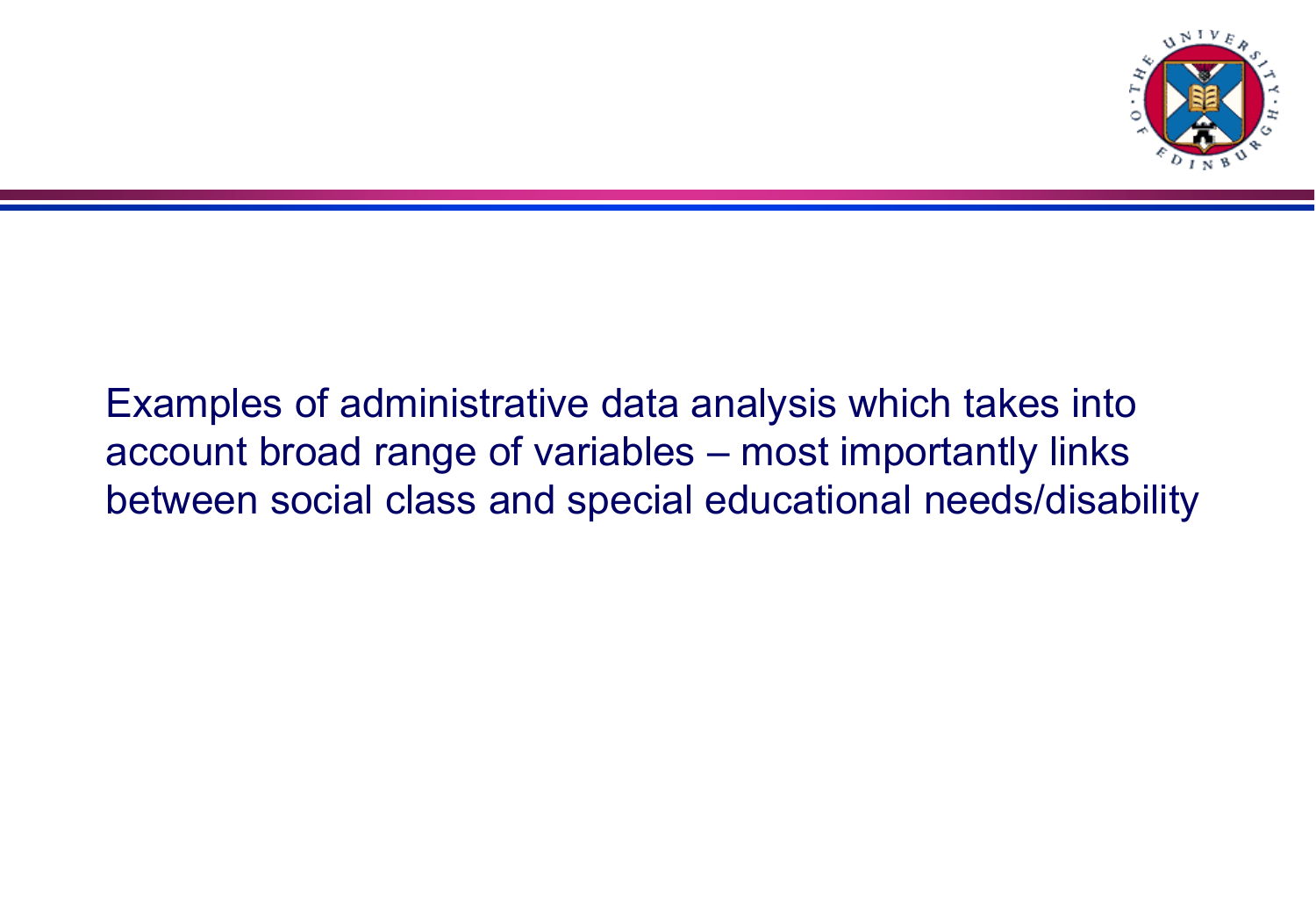

#### Examples of administrative data analysis which takes into account broad range of variables – most importantly links between social class and special educational needs/disability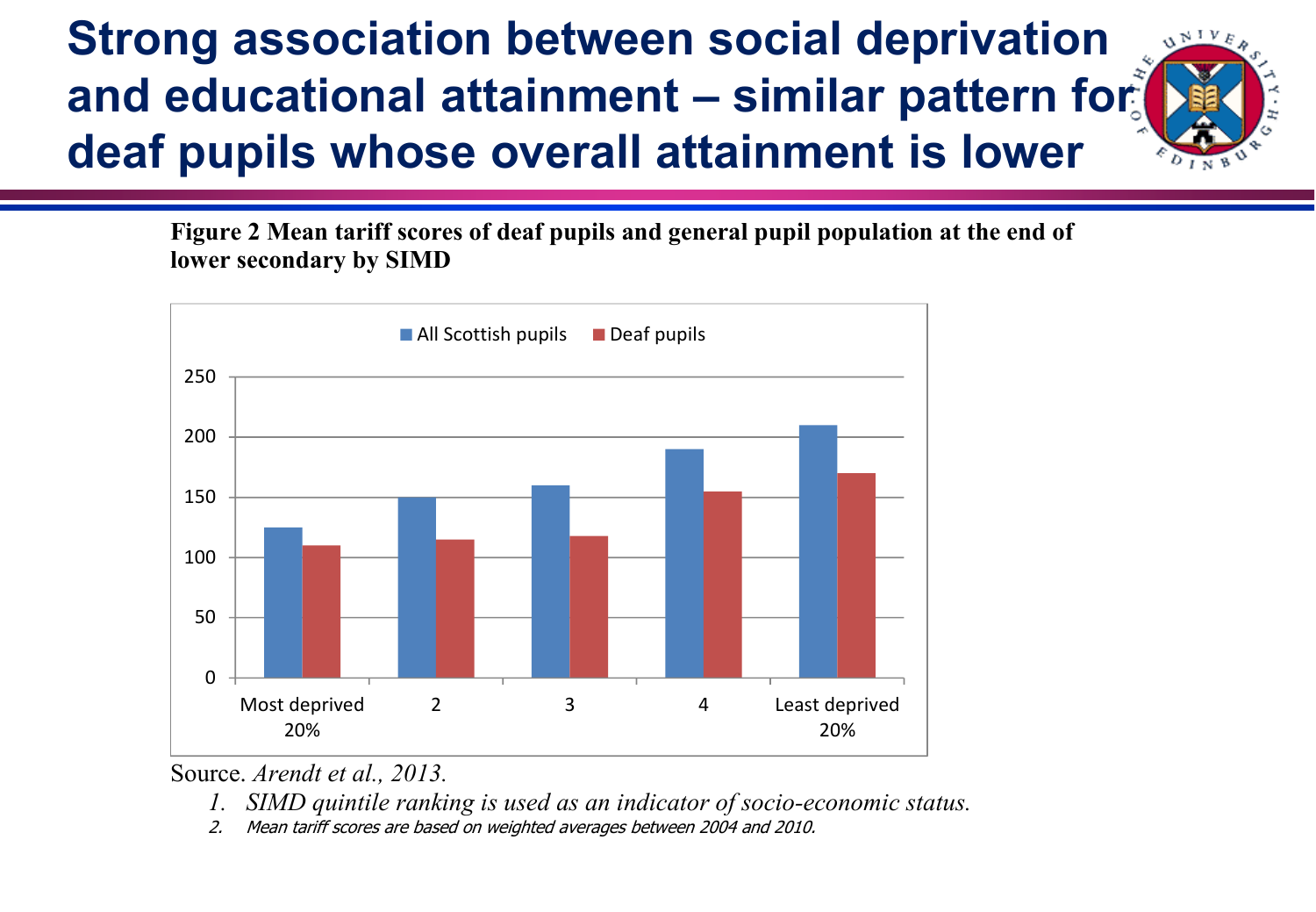## **Strong association between social deprivation and educational attainment – similar pattern for deaf pupils whose overall attainment is lower**



**Figure 2 Mean tariff scores of deaf pupils and general pupil population at the end of lower secondary by SIMD**



Source. *Arendt et al., 2013.*

- *1. SIMD quintile ranking is used as an indicator of socio-economic status.*
- 2. Mean tariff scores are based on weighted averages between 2004 and 2010.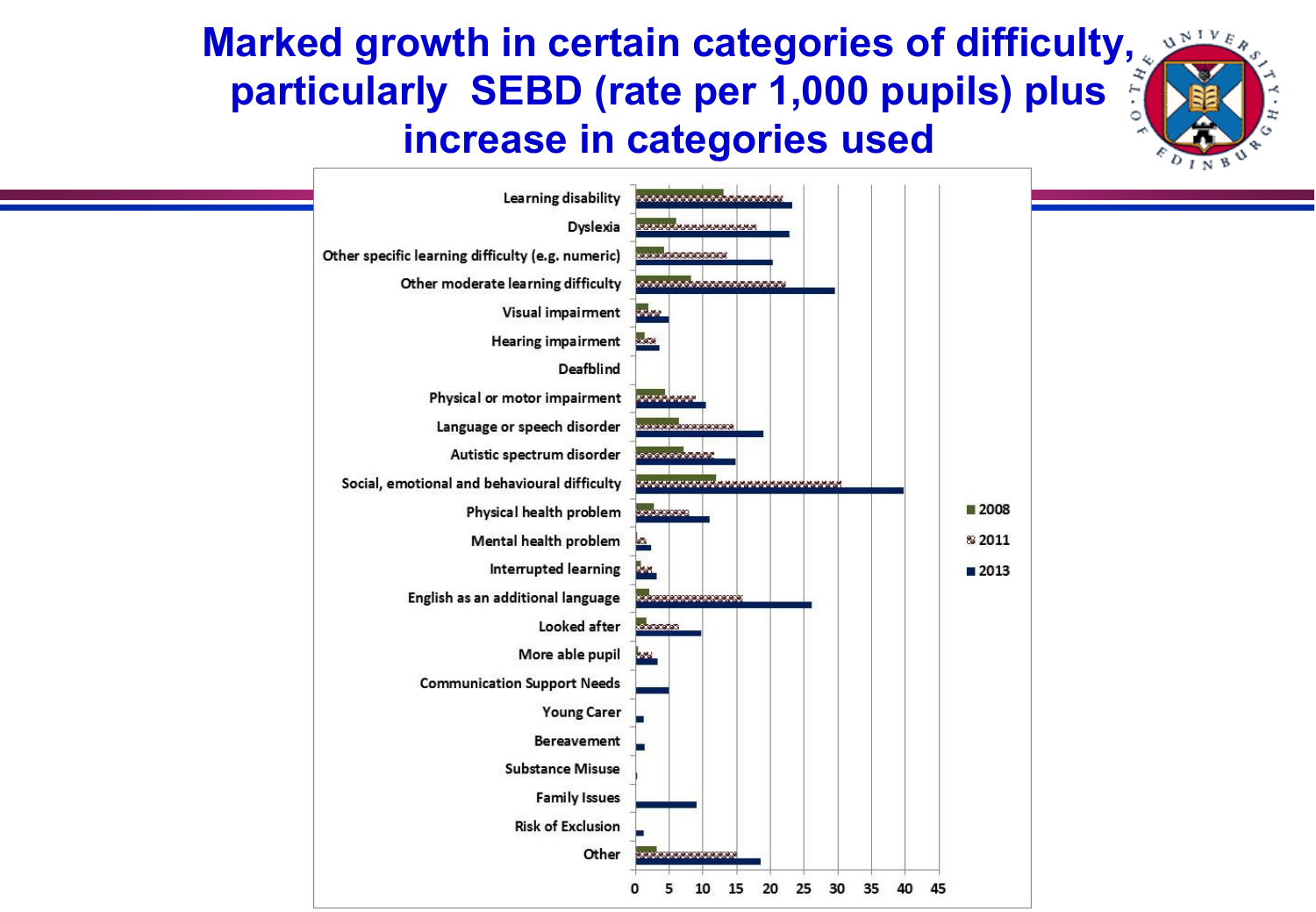### **Marked growth in certain categories of difficulty,**  $\frac{S^{N+V_{E}}}{S^{N+V_{E}}}$ **particularly SEBD (rate per 1,000 pupils) plus increase in categories used**

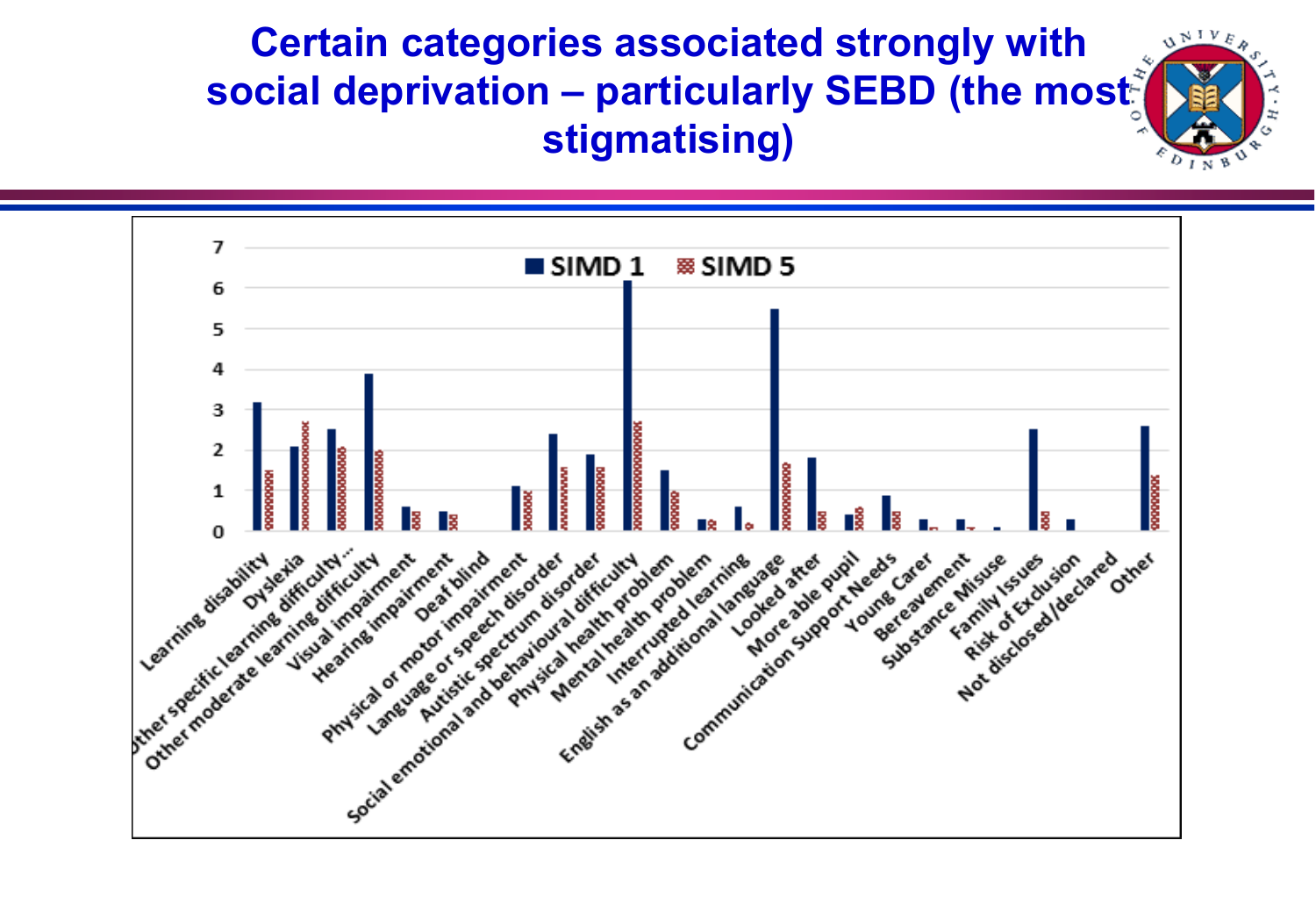

**Certain categories associated strongly with social deprivation – particularly SEBD (the most stigmatising)**

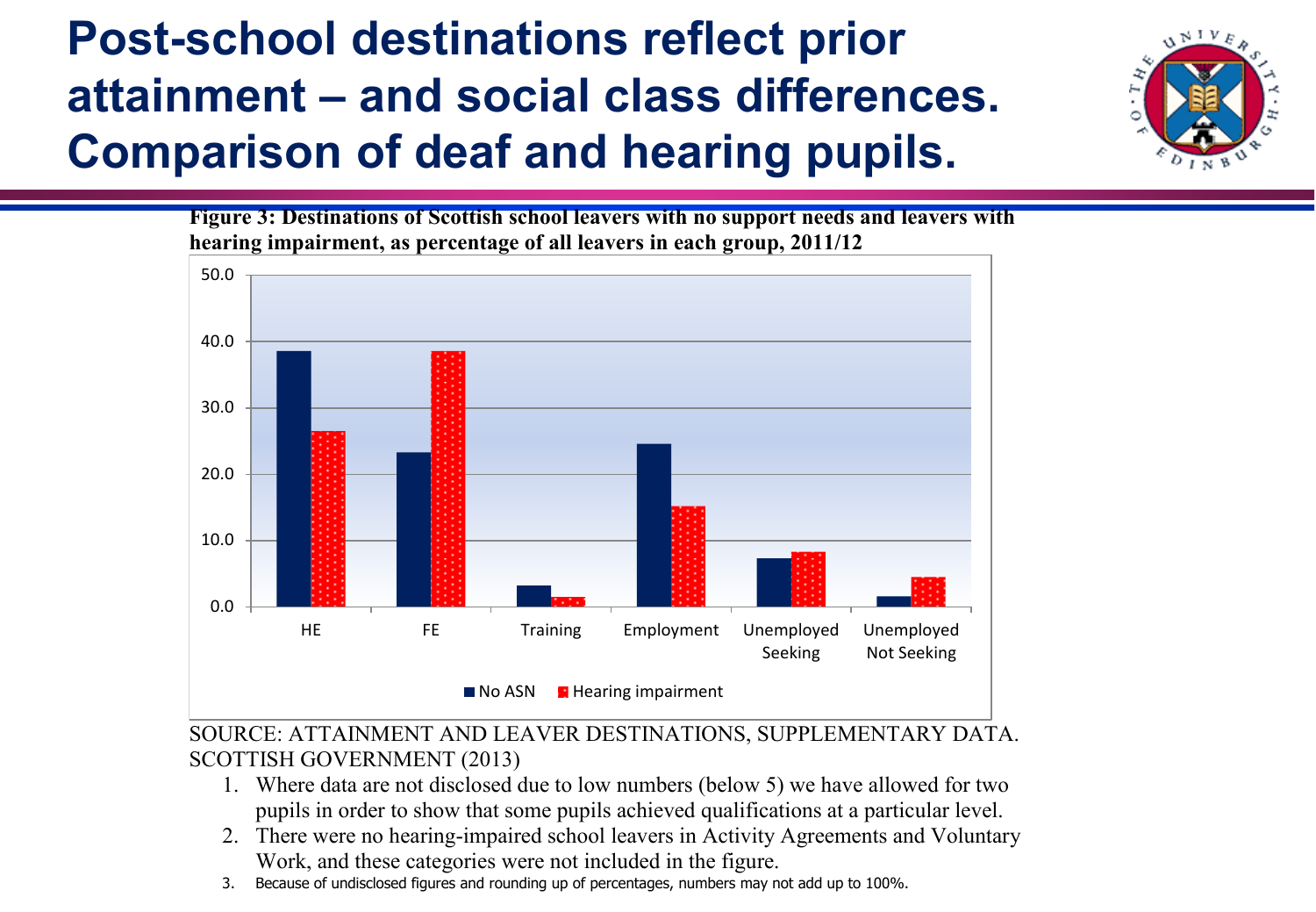## **Post-school destinations reflect prior attainment – and social class differences. Comparison of deaf and hearing pupils.**



**Figure 3: Destinations of Scottish school leavers with no support needs and leavers with hearing impairment, as percentage of all leavers in each group, 2011/12**



#### SOURCE: ATTAINMENT AND LEAVER DESTINATIONS, SUPPLEMENTARY DATA. SCOTTISH GOVERNMENT (2013)

- 1. Where data are not disclosed due to low numbers (below 5) we have allowed for two pupils in order to show that some pupils achieved qualifications at a particular level.
- 2. There were no hearing-impaired school leavers in Activity Agreements and Voluntary Work, and these categories were not included in the figure.
- 3. Because of undisclosed figures and rounding up of percentages, numbers may not add up to 100%.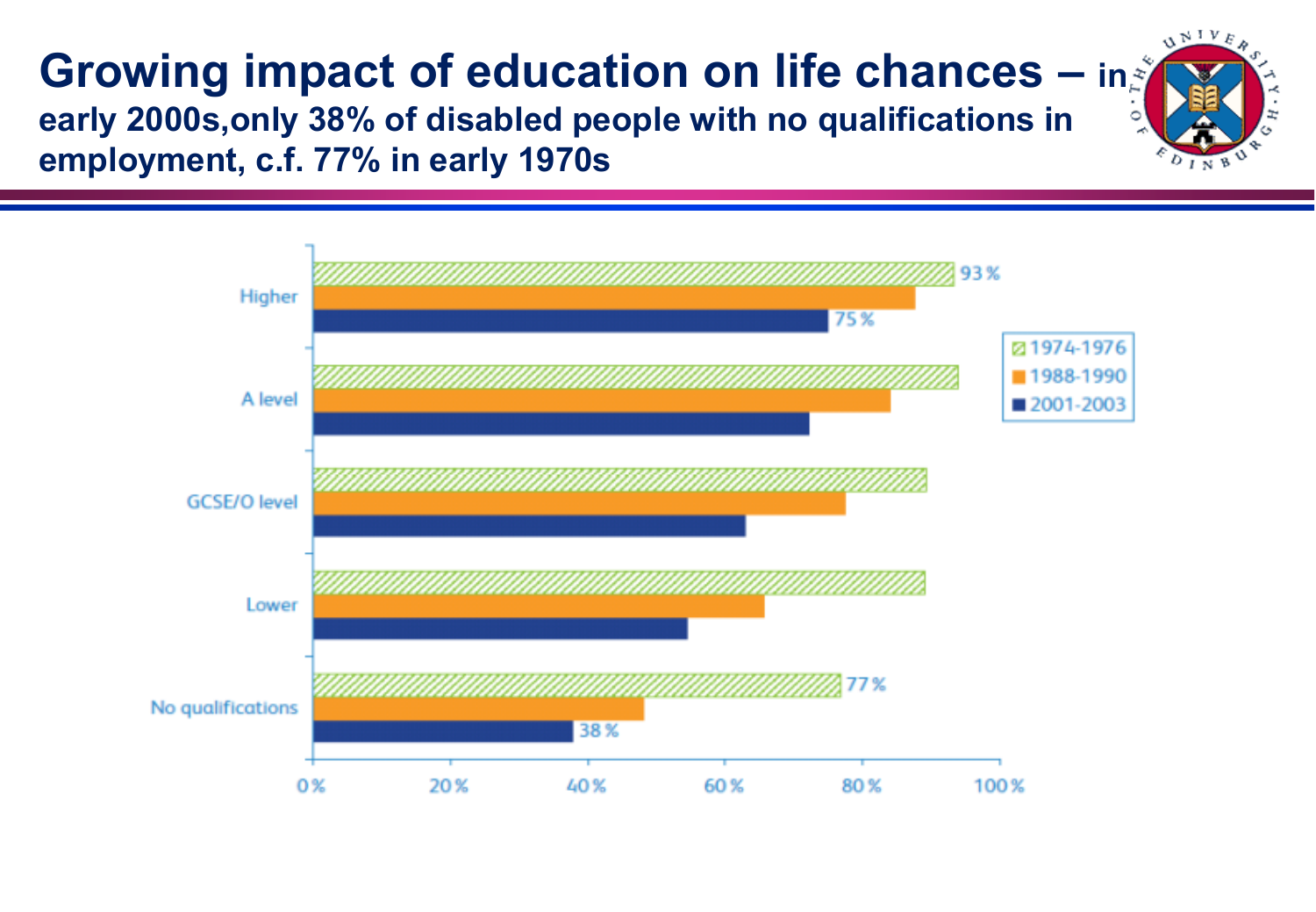#### **Growing impact of education on life chances – in early 2000s,only 38% of disabled people with no qualifications in employment, c.f. 77% in early 1970s**



 $U^{\text{NIV}}_{\text{R}}$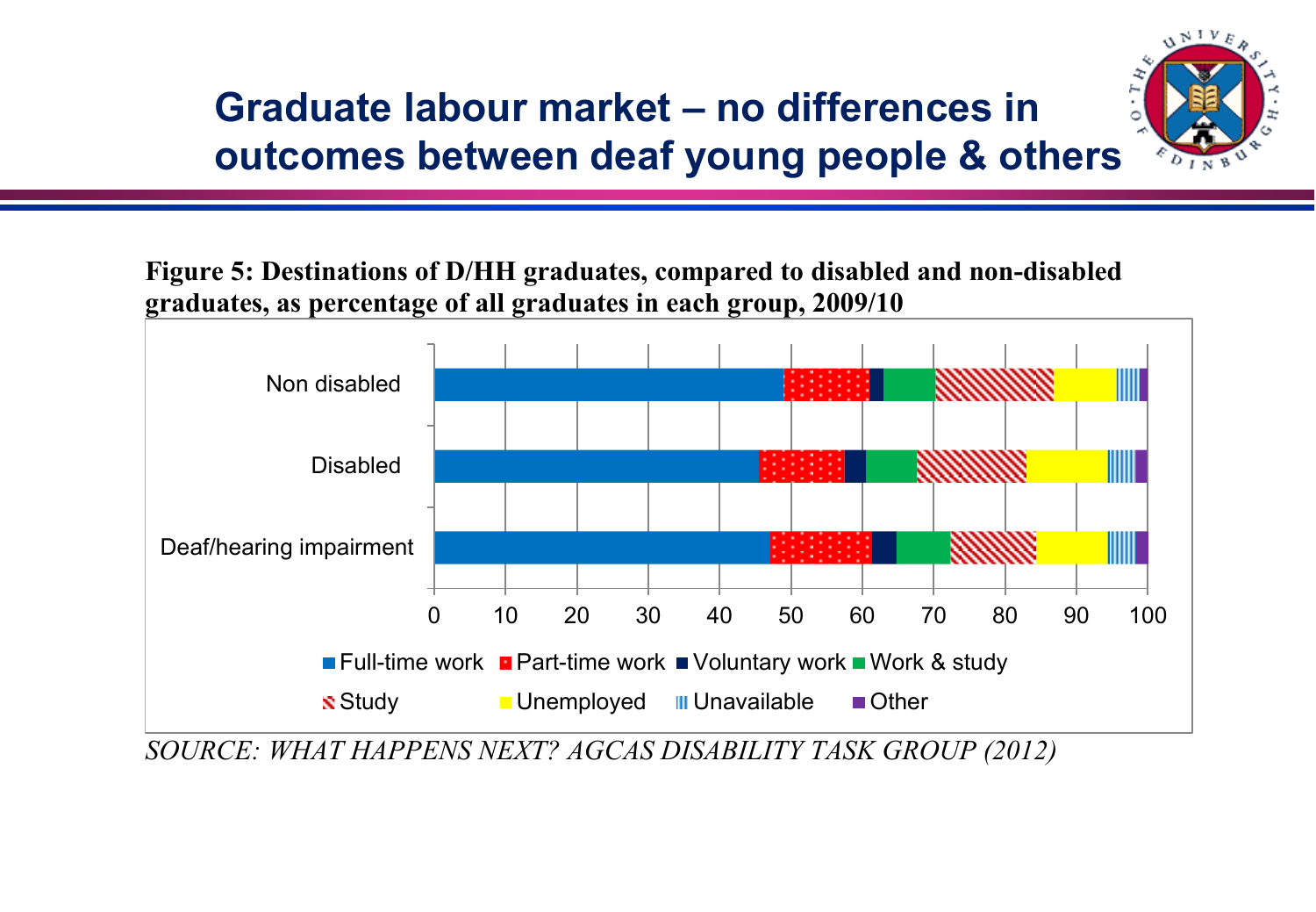## **Graduate labour market – no differences in outcomes between deaf young people & others**



**Figure 5: Destinations of D/HH graduates, compared to disabled and non-disabled graduates, as percentage of all graduates in each group, 2009/10**



*SOURCE: WHAT HAPPENS NEXT? AGCAS DISABILITY TASK GROUP (2012)*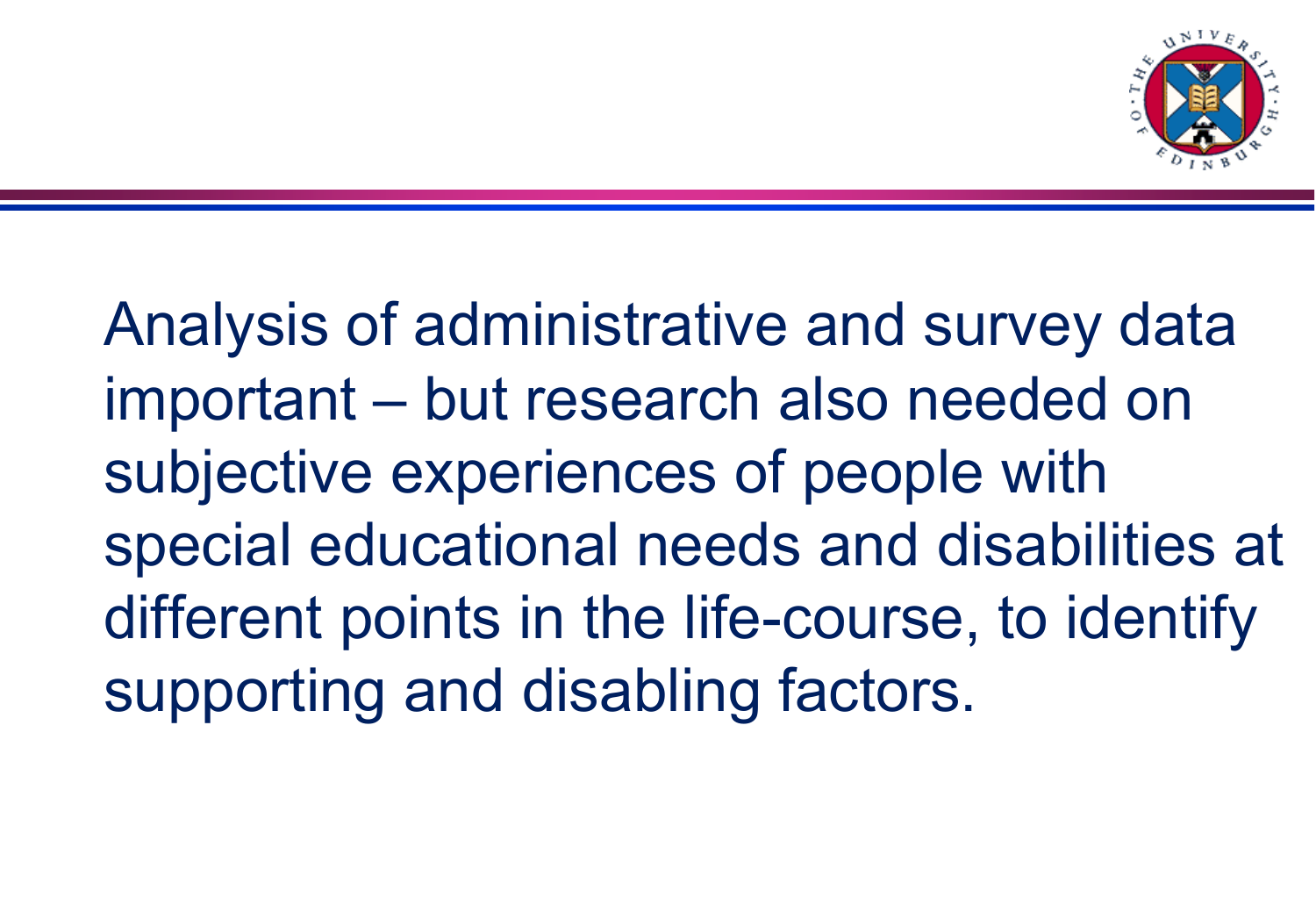

Analysis of administrative and survey data important – but research also needed on subjective experiences of people with special educational needs and disabilities at different points in the life-course, to identify supporting and disabling factors.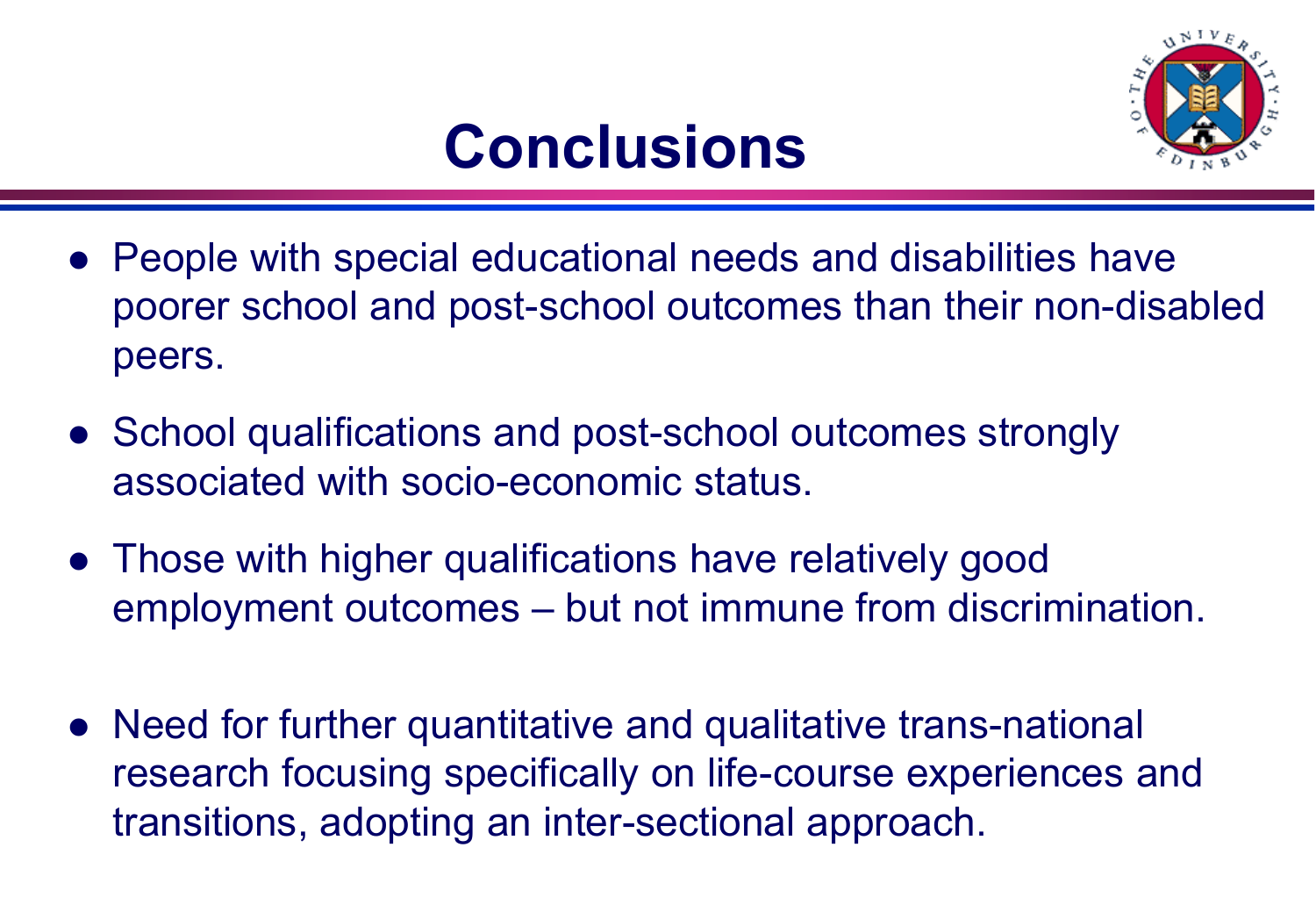

## **Conclusions**

- People with special educational needs and disabilities have poorer school and post-school outcomes than their non-disabled peers.
- School qualifications and post-school outcomes strongly associated with socio-economic status.
- Those with higher qualifications have relatively good employment outcomes – but not immune from discrimination.
- Need for further quantitative and qualitative trans-national research focusing specifically on life-course experiences and transitions, adopting an inter-sectional approach.